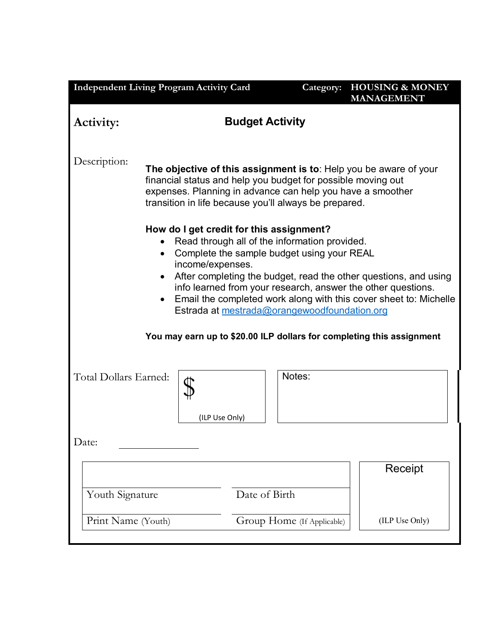| <b>Budget Activity</b><br>Activity:<br>Description:<br>The objective of this assignment is to: Help you be aware of your<br>financial status and help you budget for possible moving out<br>expenses. Planning in advance can help you have a smoother<br>transition in life because you'll always be prepared.<br>How do I get credit for this assignment?<br>Read through all of the information provided.<br>Complete the sample budget using your REAL<br>$\bullet$<br>income/expenses.<br>After completing the budget, read the other questions, and using<br>info learned from your research, answer the other questions.<br>Email the completed work along with this cover sheet to: Michelle<br>Estrada at mestrada@orangewoodfoundation.org<br>You may earn up to \$20.00 ILP dollars for completing this assignment<br>Notes:<br>Total Dollars Earned: | <b>HOUSING &amp; MONEY</b> |
|------------------------------------------------------------------------------------------------------------------------------------------------------------------------------------------------------------------------------------------------------------------------------------------------------------------------------------------------------------------------------------------------------------------------------------------------------------------------------------------------------------------------------------------------------------------------------------------------------------------------------------------------------------------------------------------------------------------------------------------------------------------------------------------------------------------------------------------------------------------|----------------------------|
|                                                                                                                                                                                                                                                                                                                                                                                                                                                                                                                                                                                                                                                                                                                                                                                                                                                                  |                            |
|                                                                                                                                                                                                                                                                                                                                                                                                                                                                                                                                                                                                                                                                                                                                                                                                                                                                  |                            |
|                                                                                                                                                                                                                                                                                                                                                                                                                                                                                                                                                                                                                                                                                                                                                                                                                                                                  |                            |
|                                                                                                                                                                                                                                                                                                                                                                                                                                                                                                                                                                                                                                                                                                                                                                                                                                                                  |                            |
| (ILP Use Only)                                                                                                                                                                                                                                                                                                                                                                                                                                                                                                                                                                                                                                                                                                                                                                                                                                                   |                            |
| Date:                                                                                                                                                                                                                                                                                                                                                                                                                                                                                                                                                                                                                                                                                                                                                                                                                                                            |                            |
| Receipt                                                                                                                                                                                                                                                                                                                                                                                                                                                                                                                                                                                                                                                                                                                                                                                                                                                          |                            |
| Youth Signature<br>Date of Birth                                                                                                                                                                                                                                                                                                                                                                                                                                                                                                                                                                                                                                                                                                                                                                                                                                 |                            |
| Group Home (If Applicable)<br>Print Name (Youth)<br>(ILP Use Only)                                                                                                                                                                                                                                                                                                                                                                                                                                                                                                                                                                                                                                                                                                                                                                                               |                            |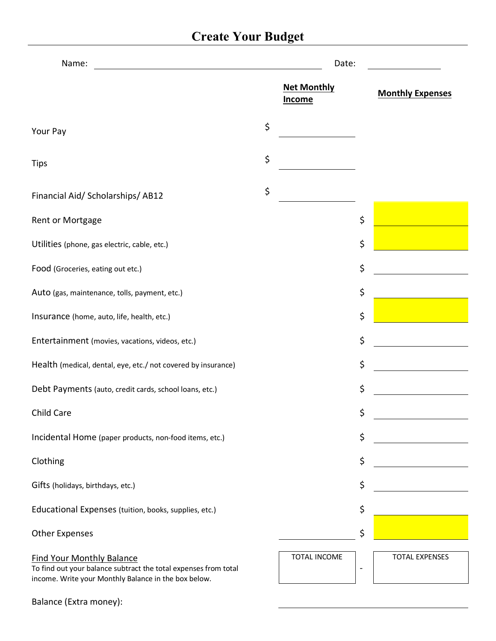# **Create Your Budget**

| Name:                                                                                                                                                       | Date:                               |    |                         |
|-------------------------------------------------------------------------------------------------------------------------------------------------------------|-------------------------------------|----|-------------------------|
|                                                                                                                                                             | <b>Net Monthly</b><br><b>Income</b> |    | <b>Monthly Expenses</b> |
| Your Pay                                                                                                                                                    | \$                                  |    |                         |
| <b>Tips</b>                                                                                                                                                 | \$                                  |    |                         |
| Financial Aid/ Scholarships/ AB12                                                                                                                           | \$                                  |    |                         |
| Rent or Mortgage                                                                                                                                            |                                     | \$ |                         |
| Utilities (phone, gas electric, cable, etc.)                                                                                                                |                                     | \$ |                         |
| Food (Groceries, eating out etc.)                                                                                                                           |                                     | \$ |                         |
| Auto (gas, maintenance, tolls, payment, etc.)                                                                                                               |                                     | \$ |                         |
| Insurance (home, auto, life, health, etc.)                                                                                                                  |                                     | \$ |                         |
| Entertainment (movies, vacations, videos, etc.)                                                                                                             |                                     | \$ |                         |
| Health (medical, dental, eye, etc./ not covered by insurance)                                                                                               |                                     | \$ |                         |
| Debt Payments (auto, credit cards, school loans, etc.)                                                                                                      |                                     | \$ |                         |
| Child Care                                                                                                                                                  |                                     | \$ |                         |
| Incidental Home (paper products, non-food items, etc.)                                                                                                      |                                     | \$ |                         |
| Clothing                                                                                                                                                    |                                     | \$ |                         |
| Gifts (holidays, birthdays, etc.)                                                                                                                           |                                     | \$ |                         |
| Educational Expenses (tuition, books, supplies, etc.)                                                                                                       |                                     | \$ |                         |
| <b>Other Expenses</b>                                                                                                                                       |                                     | \$ |                         |
| <b>Find Your Monthly Balance</b><br>To find out your balance subtract the total expenses from total<br>income. Write your Monthly Balance in the box below. | TOTAL INCOME                        | -  | <b>TOTAL EXPENSES</b>   |

| Balance (Extra money): |  |  |  |
|------------------------|--|--|--|
|------------------------|--|--|--|